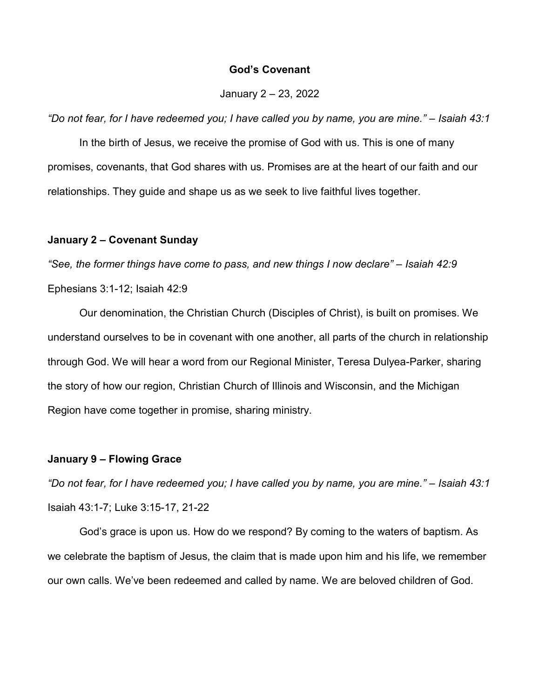### God's Covenant

### January 2 – 23, 2022

"Do not fear, for I have redeemed you; I have called you by name, you are mine." – Isaiah 43:1

In the birth of Jesus, we receive the promise of God with us. This is one of many promises, covenants, that God shares with us. Promises are at the heart of our faith and our relationships. They guide and shape us as we seek to live faithful lives together.

#### January 2 – Covenant Sunday

"See, the former things have come to pass, and new things I now declare" – Isaiah 42:9 Ephesians 3:1-12; Isaiah 42:9

 Our denomination, the Christian Church (Disciples of Christ), is built on promises. We understand ourselves to be in covenant with one another, all parts of the church in relationship through God. We will hear a word from our Regional Minister, Teresa Dulyea-Parker, sharing the story of how our region, Christian Church of Illinois and Wisconsin, and the Michigan Region have come together in promise, sharing ministry.

### January 9 – Flowing Grace

"Do not fear, for I have redeemed you; I have called you by name, you are mine." – Isaiah 43:1 Isaiah 43:1-7; Luke 3:15-17, 21-22

 God's grace is upon us. How do we respond? By coming to the waters of baptism. As we celebrate the baptism of Jesus, the claim that is made upon him and his life, we remember our own calls. We've been redeemed and called by name. We are beloved children of God.